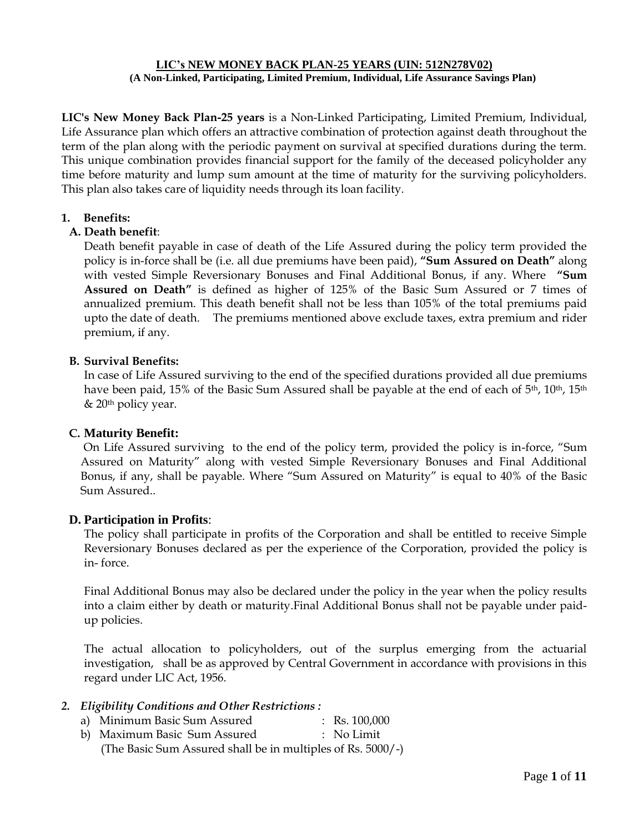#### **LIC's NEW MONEY BACK PLAN-25 YEARS (UIN: 512N278V02) (A Non-Linked, Participating, Limited Premium, Individual, Life Assurance Savings Plan)**

**LIC's New Money Back Plan-25 years** is a Non-Linked Participating, Limited Premium, Individual, Life Assurance plan which offers an attractive combination of protection against death throughout the term of the plan along with the periodic payment on survival at specified durations during the term. This unique combination provides financial support for the family of the deceased policyholder any time before maturity and lump sum amount at the time of maturity for the surviving policyholders. This plan also takes care of liquidity needs through its loan facility.

## **1. Benefits:**

## **A. Death benefit**:

Death benefit payable in case of death of the Life Assured during the policy term provided the policy is in-force shall be (i.e. all due premiums have been paid), **"Sum Assured on Death"** along with vested Simple Reversionary Bonuses and Final Additional Bonus, if any. Where **"Sum Assured on Death"** is defined as higher of 125% of the Basic Sum Assured or 7 times of annualized premium. This death benefit shall not be less than 105% of the total premiums paid upto the date of death. The premiums mentioned above exclude taxes, extra premium and rider premium, if any.

## **B. Survival Benefits:**

In case of Life Assured surviving to the end of the specified durations provided all due premiums have been paid, 15% of the Basic Sum Assured shall be payable at the end of each of 5<sup>th</sup>, 10<sup>th</sup>, 15<sup>th</sup> & 20th policy year.

#### **C. Maturity Benefit:**

On Life Assured surviving to the end of the policy term, provided the policy is in-force, "Sum Assured on Maturity" along with vested Simple Reversionary Bonuses and Final Additional Bonus, if any, shall be payable. Where "Sum Assured on Maturity" is equal to 40% of the Basic Sum Assured..

#### **D. Participation in Profits**:

The policy shall participate in profits of the Corporation and shall be entitled to receive Simple Reversionary Bonuses declared as per the experience of the Corporation, provided the policy is in- force.

Final Additional Bonus may also be declared under the policy in the year when the policy results into a claim either by death or maturity.Final Additional Bonus shall not be payable under paidup policies.

The actual allocation to policyholders, out of the surplus emerging from the actuarial investigation, shall be as approved by Central Government in accordance with provisions in this regard under LIC Act, 1956.

# *2. Eligibility Conditions and Other Restrictions :*

- a) Minimum Basic Sum Assured : Rs. 100,000
- b) Maximum Basic Sum Assured : No Limit (The Basic Sum Assured shall be in multiples of Rs. 5000/-)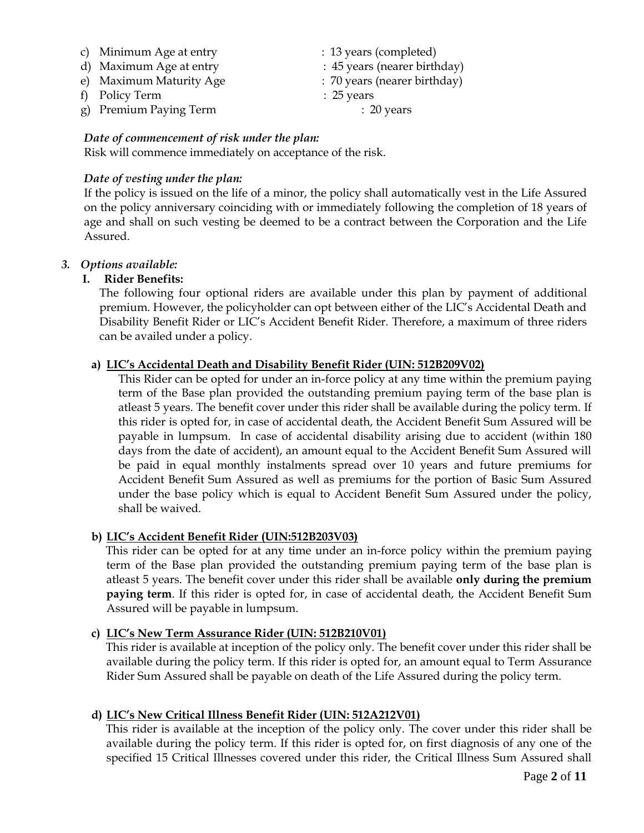- c) Minimum Age at entry : 13 years (completed)
- d) Maximum Age at entry : 45 years (nearer birthday)
- e) Maximum Maturity Age : 70 years (nearer birthday)
- f) Policy Term : 25 years
- g) Premium Paying Term : 20 years

# *Date of commencement of risk under the plan:*

Risk will commence immediately on acceptance of the risk.

# *Date of vesting under the plan:*

If the policy is issued on the life of a minor, the policy shall automatically vest in the Life Assured on the policy anniversary coinciding with or immediately following the completion of 18 years of age and shall on such vesting be deemed to be a contract between the Corporation and the Life Assured.

# *3. Options available:*

# **I. Rider Benefits:**

The following four optional riders are available under this plan by payment of additional premium. However, the policyholder can opt between either of the LIC's Accidental Death and Disability Benefit Rider or LIC's Accident Benefit Rider. Therefore, a maximum of three riders can be availed under a policy.

# **a) LIC's Accidental Death and Disability Benefit Rider (UIN: 512B209V02)**

This Rider can be opted for under an in-force policy at any time within the premium paying term of the Base plan provided the outstanding premium paying term of the base plan is atleast 5 years. The benefit cover under this rider shall be available during the policy term. If this rider is opted for, in case of accidental death, the Accident Benefit Sum Assured will be payable in lumpsum. In case of accidental disability arising due to accident (within 180 days from the date of accident), an amount equal to the Accident Benefit Sum Assured will be paid in equal monthly instalments spread over 10 years and future premiums for Accident Benefit Sum Assured as well as premiums for the portion of Basic Sum Assured under the base policy which is equal to Accident Benefit Sum Assured under the policy, shall be waived.

# **b) LIC's Accident Benefit Rider (UIN:512B203V03)**

 This rider can be opted for at any time under an in-force policy within the premium paying term of the Base plan provided the outstanding premium paying term of the base plan is atleast 5 years. The benefit cover under this rider shall be available **only during the premium paying term**. If this rider is opted for, in case of accidental death, the Accident Benefit Sum Assured will be payable in lumpsum.

# **c) LIC's New Term Assurance Rider (UIN: 512B210V01)**

 This rider is available at inception of the policy only. The benefit cover under this rider shall be available during the policy term. If this rider is opted for, an amount equal to Term Assurance Rider Sum Assured shall be payable on death of the Life Assured during the policy term.

# **d) LIC's New Critical Illness Benefit Rider (UIN: 512A212V01)**

 This rider is available at the inception of the policy only. The cover under this rider shall be available during the policy term. If this rider is opted for, on first diagnosis of any one of the specified 15 Critical Illnesses covered under this rider, the Critical Illness Sum Assured shall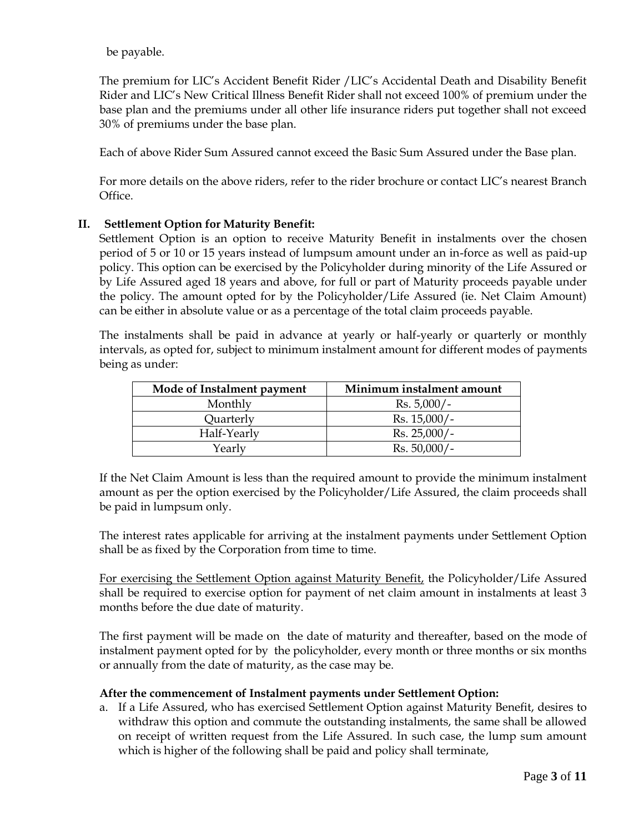be payable.

The premium for LIC's Accident Benefit Rider /LIC's Accidental Death and Disability Benefit Rider and LIC's New Critical Illness Benefit Rider shall not exceed 100% of premium under the base plan and the premiums under all other life insurance riders put together shall not exceed 30% of premiums under the base plan.

Each of above Rider Sum Assured cannot exceed the Basic Sum Assured under the Base plan.

For more details on the above riders, refer to the rider brochure or contact LIC's nearest Branch Office.

## **II. Settlement Option for Maturity Benefit:**

Settlement Option is an option to receive Maturity Benefit in instalments over the chosen period of 5 or 10 or 15 years instead of lumpsum amount under an in-force as well as paid-up policy. This option can be exercised by the Policyholder during minority of the Life Assured or by Life Assured aged 18 years and above, for full or part of Maturity proceeds payable under the policy. The amount opted for by the Policyholder/Life Assured (ie. Net Claim Amount) can be either in absolute value or as a percentage of the total claim proceeds payable.

The instalments shall be paid in advance at yearly or half-yearly or quarterly or monthly intervals, as opted for, subject to minimum instalment amount for different modes of payments being as under:

| Mode of Instalment payment | Minimum instalment amount |
|----------------------------|---------------------------|
| Monthly                    | $Rs. 5,000/-$             |
| Quarterly                  | $Rs. 15,000/-$            |
| Half-Yearly                | $Rs. 25,000/-$            |
| Yearly                     | $Rs. 50,000/-$            |

If the Net Claim Amount is less than the required amount to provide the minimum instalment amount as per the option exercised by the Policyholder/Life Assured, the claim proceeds shall be paid in lumpsum only.

The interest rates applicable for arriving at the instalment payments under Settlement Option shall be as fixed by the Corporation from time to time.

For exercising the Settlement Option against Maturity Benefit, the Policyholder/Life Assured shall be required to exercise option for payment of net claim amount in instalments at least 3 months before the due date of maturity.

The first payment will be made on the date of maturity and thereafter, based on the mode of instalment payment opted for by the policyholder, every month or three months or six months or annually from the date of maturity, as the case may be.

#### **After the commencement of Instalment payments under Settlement Option:**

a. If a Life Assured, who has exercised Settlement Option against Maturity Benefit, desires to withdraw this option and commute the outstanding instalments, the same shall be allowed on receipt of written request from the Life Assured. In such case, the lump sum amount which is higher of the following shall be paid and policy shall terminate,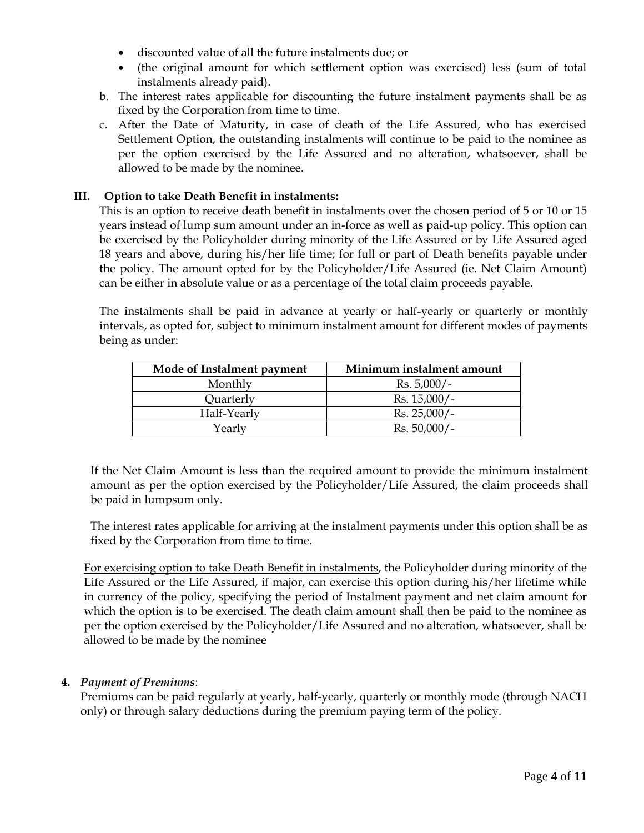- discounted value of all the future instalments due; or
- (the original amount for which settlement option was exercised) less (sum of total instalments already paid).
- b. The interest rates applicable for discounting the future instalment payments shall be as fixed by the Corporation from time to time.
- c. After the Date of Maturity, in case of death of the Life Assured, who has exercised Settlement Option, the outstanding instalments will continue to be paid to the nominee as per the option exercised by the Life Assured and no alteration, whatsoever, shall be allowed to be made by the nominee.

# **III. Option to take Death Benefit in instalments:**

This is an option to receive death benefit in instalments over the chosen period of 5 or 10 or 15 years instead of lump sum amount under an in-force as well as paid-up policy. This option can be exercised by the Policyholder during minority of the Life Assured or by Life Assured aged 18 years and above, during his/her life time; for full or part of Death benefits payable under the policy. The amount opted for by the Policyholder/Life Assured (ie. Net Claim Amount) can be either in absolute value or as a percentage of the total claim proceeds payable.

The instalments shall be paid in advance at yearly or half-yearly or quarterly or monthly intervals, as opted for, subject to minimum instalment amount for different modes of payments being as under:

| Mode of Instalment payment | Minimum instalment amount |
|----------------------------|---------------------------|
| Monthly                    | $Rs. 5,000/-$             |
| Quarterly                  | $Rs. 15,000/-$            |
| Half-Yearly                | $Rs. 25,000/-$            |
| Yearly                     | $Rs. 50,000/-$            |

If the Net Claim Amount is less than the required amount to provide the minimum instalment amount as per the option exercised by the Policyholder/Life Assured, the claim proceeds shall be paid in lumpsum only.

The interest rates applicable for arriving at the instalment payments under this option shall be as fixed by the Corporation from time to time.

For exercising option to take Death Benefit in instalments, the Policyholder during minority of the Life Assured or the Life Assured, if major, can exercise this option during his/her lifetime while in currency of the policy, specifying the period of Instalment payment and net claim amount for which the option is to be exercised. The death claim amount shall then be paid to the nominee as per the option exercised by the Policyholder/Life Assured and no alteration, whatsoever, shall be allowed to be made by the nominee

# **4.** *Payment of Premiums*:

Premiums can be paid regularly at yearly, half-yearly, quarterly or monthly mode (through NACH only) or through salary deductions during the premium paying term of the policy.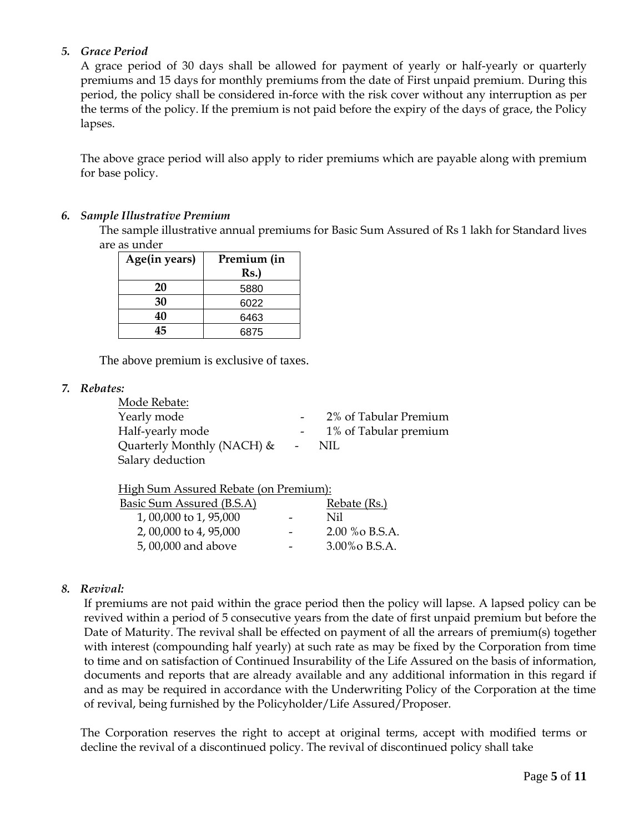# *5. Grace Period*

A grace period of 30 days shall be allowed for payment of yearly or half-yearly or quarterly premiums and 15 days for monthly premiums from the date of First unpaid premium. During this period, the policy shall be considered in-force with the risk cover without any interruption as per the terms of the policy. If the premium is not paid before the expiry of the days of grace, the Policy lapses.

The above grace period will also apply to rider premiums which are payable along with premium for base policy.

## *6. Sample Illustrative Premium*

The sample illustrative annual premiums for Basic Sum Assured of Rs 1 lakh for Standard lives are as under

| Age(in years) | Premium (in |
|---------------|-------------|
|               | Rs.         |
| 20            | 5880        |
| 30            | 6022        |
| 40            | 6463        |
|               | 6875        |

The above premium is exclusive of taxes.

*7. Rebates:* 

| Mode Rebate:                  |        |                       |
|-------------------------------|--------|-----------------------|
| Yearly mode                   |        | 2% of Tabular Premium |
| Half-yearly mode              |        | 1% of Tabular premium |
| Quarterly Monthly (NACH) $\&$ | $\sim$ | NIL.                  |
| Salary deduction              |        |                       |

| High Sum Assured Rebate (on Premium): |                                 |                 |
|---------------------------------------|---------------------------------|-----------------|
| Basic Sum Assured (B.S.A)             |                                 | Rebate (Rs.)    |
| 1,00,000 to 1,95,000                  | Nil<br>$\overline{\phantom{0}}$ |                 |
| 2, 00,000 to 4, 95,000                |                                 | 2.00 % o B.S.A. |

5, 00,000 and above **-** 3.00% B.S.A.

# *8. Revival:*

If premiums are not paid within the grace period then the policy will lapse. A lapsed policy can be revived within a period of 5 consecutive years from the date of first unpaid premium but before the Date of Maturity. The revival shall be effected on payment of all the arrears of premium(s) together with interest (compounding half yearly) at such rate as may be fixed by the Corporation from time to time and on satisfaction of Continued Insurability of the Life Assured on the basis of information, documents and reports that are already available and any additional information in this regard if and as may be required in accordance with the Underwriting Policy of the Corporation at the time of revival, being furnished by the Policyholder/Life Assured/Proposer.

The Corporation reserves the right to accept at original terms, accept with modified terms or decline the revival of a discontinued policy. The revival of discontinued policy shall take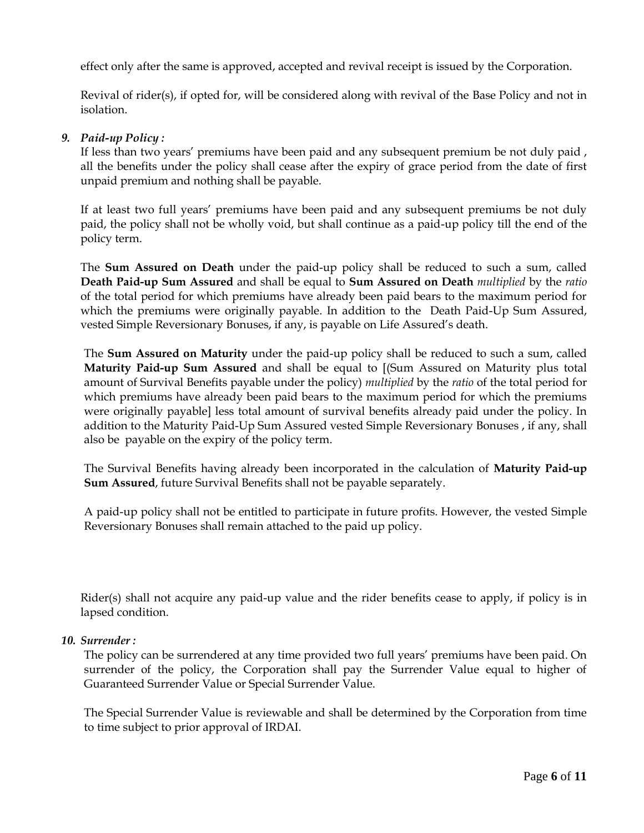effect only after the same is approved, accepted and revival receipt is issued by the Corporation.

Revival of rider(s), if opted for, will be considered along with revival of the Base Policy and not in isolation.

## *9. Paid-up Policy :*

If less than two years' premiums have been paid and any subsequent premium be not duly paid , all the benefits under the policy shall cease after the expiry of grace period from the date of first unpaid premium and nothing shall be payable.

If at least two full years' premiums have been paid and any subsequent premiums be not duly paid, the policy shall not be wholly void, but shall continue as a paid-up policy till the end of the policy term.

The **Sum Assured on Death** under the paid-up policy shall be reduced to such a sum, called **Death Paid-up Sum Assured** and shall be equal to **Sum Assured on Death** *multiplied* by the *ratio* of the total period for which premiums have already been paid bears to the maximum period for which the premiums were originally payable. In addition to the Death Paid-Up Sum Assured, vested Simple Reversionary Bonuses, if any, is payable on Life Assured's death.

The **Sum Assured on Maturity** under the paid-up policy shall be reduced to such a sum, called **Maturity Paid-up Sum Assured** and shall be equal to [(Sum Assured on Maturity plus total amount of Survival Benefits payable under the policy) *multiplied* by the *ratio* of the total period for which premiums have already been paid bears to the maximum period for which the premiums were originally payable] less total amount of survival benefits already paid under the policy. In addition to the Maturity Paid-Up Sum Assured vested Simple Reversionary Bonuses , if any, shall also be payable on the expiry of the policy term.

The Survival Benefits having already been incorporated in the calculation of **Maturity Paid-up Sum Assured**, future Survival Benefits shall not be payable separately.

A paid-up policy shall not be entitled to participate in future profits. However, the vested Simple Reversionary Bonuses shall remain attached to the paid up policy.

Rider(s) shall not acquire any paid-up value and the rider benefits cease to apply, if policy is in lapsed condition.

#### *10. Surrender :*

The policy can be surrendered at any time provided two full years' premiums have been paid. On surrender of the policy, the Corporation shall pay the Surrender Value equal to higher of Guaranteed Surrender Value or Special Surrender Value.

The Special Surrender Value is reviewable and shall be determined by the Corporation from time to time subject to prior approval of IRDAI.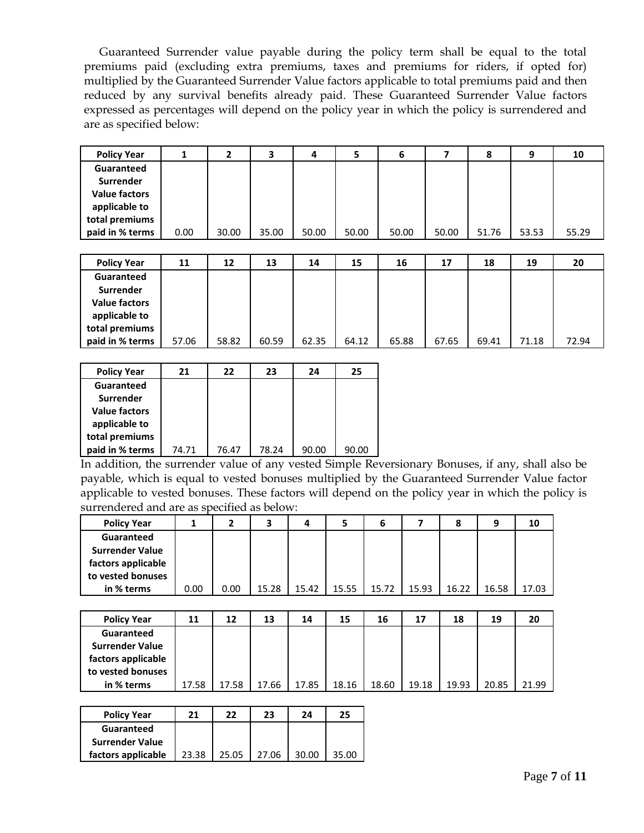Guaranteed Surrender value payable during the policy term shall be equal to the total premiums paid (excluding extra premiums, taxes and premiums for riders, if opted for) multiplied by the Guaranteed Surrender Value factors applicable to total premiums paid and then reduced by any survival benefits already paid. These Guaranteed Surrender Value factors expressed as percentages will depend on the policy year in which the policy is surrendered and are as specified below:

| <b>Policy Year</b>   |      |       | з     | 4     | 5     | 6     |       | 8     | 9     | 10    |
|----------------------|------|-------|-------|-------|-------|-------|-------|-------|-------|-------|
| Guaranteed           |      |       |       |       |       |       |       |       |       |       |
| Surrender            |      |       |       |       |       |       |       |       |       |       |
| <b>Value factors</b> |      |       |       |       |       |       |       |       |       |       |
| applicable to        |      |       |       |       |       |       |       |       |       |       |
| total premiums       |      |       |       |       |       |       |       |       |       |       |
| paid in % terms      | 0.00 | 30.00 | 35.00 | 50.00 | 50.00 | 50.00 | 50.00 | 51.76 | 53.53 | 55.29 |

| <b>Policy Year</b>   | 11    | 12    | 13    | 14    | 15    | 16    | 17    | 18    | 19    | 20    |
|----------------------|-------|-------|-------|-------|-------|-------|-------|-------|-------|-------|
| Guaranteed           |       |       |       |       |       |       |       |       |       |       |
| Surrender            |       |       |       |       |       |       |       |       |       |       |
| <b>Value factors</b> |       |       |       |       |       |       |       |       |       |       |
| applicable to        |       |       |       |       |       |       |       |       |       |       |
| total premiums       |       |       |       |       |       |       |       |       |       |       |
| paid in % terms      | 57.06 | 58.82 | 60.59 | 62.35 | 64.12 | 65.88 | 67.65 | 69.41 | 71.18 | 72.94 |

| <b>Policy Year</b>   | 21    | 22    | 23    | 24    | 25    |
|----------------------|-------|-------|-------|-------|-------|
| Guaranteed           |       |       |       |       |       |
| <b>Surrender</b>     |       |       |       |       |       |
| <b>Value factors</b> |       |       |       |       |       |
| applicable to        |       |       |       |       |       |
| total premiums       |       |       |       |       |       |
| paid in % terms      | 74.71 | 76.47 | 78.24 | 90.00 | 90.00 |

In addition, the surrender value of any vested Simple Reversionary Bonuses, if any, shall also be payable, which is equal to vested bonuses multiplied by the Guaranteed Surrender Value factor applicable to vested bonuses. These factors will depend on the policy year in which the policy is surrendered and are as specified as below:

| <b>Policy Year</b>     |      |      |       | 4     |       | 6     |       | 8     | 9     | 10    |
|------------------------|------|------|-------|-------|-------|-------|-------|-------|-------|-------|
| Guaranteed             |      |      |       |       |       |       |       |       |       |       |
| <b>Surrender Value</b> |      |      |       |       |       |       |       |       |       |       |
| factors applicable     |      |      |       |       |       |       |       |       |       |       |
| to vested bonuses      |      |      |       |       |       |       |       |       |       |       |
| in % terms             | 0.00 | 0.00 | 15.28 | 15.42 | 15.55 | 15.72 | 15.93 | 16.22 | 16.58 | 17.03 |
|                        |      |      |       |       |       |       |       |       |       |       |

| <b>Policy Year</b>     | 11    | 12    | 13    | 14    | 15    | 16    | 17    | 18    | 19    | 20    |
|------------------------|-------|-------|-------|-------|-------|-------|-------|-------|-------|-------|
| Guaranteed             |       |       |       |       |       |       |       |       |       |       |
| <b>Surrender Value</b> |       |       |       |       |       |       |       |       |       |       |
| factors applicable     |       |       |       |       |       |       |       |       |       |       |
| to vested bonuses      |       |       |       |       |       |       |       |       |       |       |
| in % terms             | 17.58 | 17.58 | 17.66 | 17.85 | 18.16 | 18.60 | 19.18 | 19.93 | 20.85 | 21.99 |

| <b>Policy Year</b>     | 21    | 22    | 23    | 24    | 25    |
|------------------------|-------|-------|-------|-------|-------|
| Guaranteed             |       |       |       |       |       |
| <b>Surrender Value</b> |       |       |       |       |       |
| factors applicable     | 23.38 | 25.05 | 27 O6 | 30.00 | 35.00 |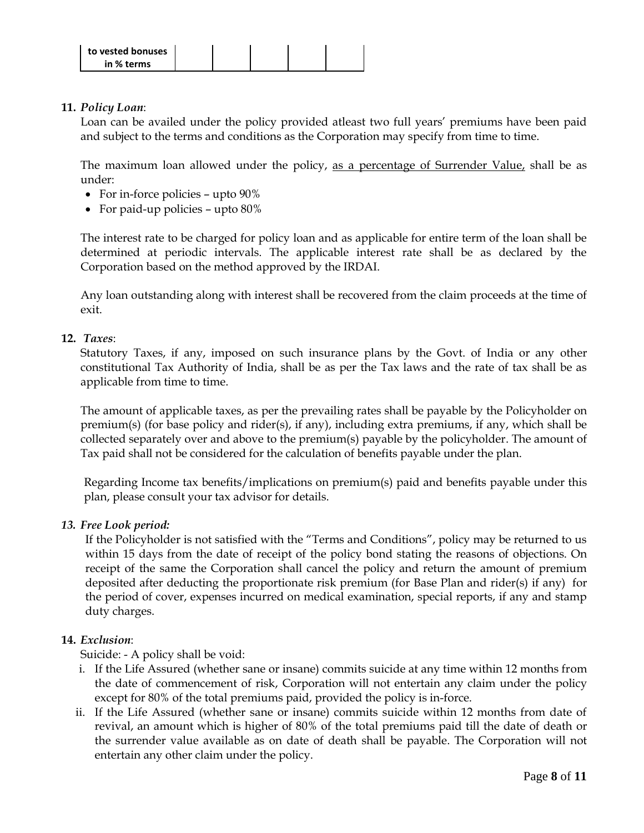

## **11.** *Policy Loan*:

Loan can be availed under the policy provided atleast two full years' premiums have been paid and subject to the terms and conditions as the Corporation may specify from time to time.

The maximum loan allowed under the policy, as a percentage of Surrender Value, shall be as under:

- For in-force policies upto 90%
- For paid-up policies upto 80%

The interest rate to be charged for policy loan and as applicable for entire term of the loan shall be determined at periodic intervals. The applicable interest rate shall be as declared by the Corporation based on the method approved by the IRDAI.

Any loan outstanding along with interest shall be recovered from the claim proceeds at the time of exit.

## **12.** *Taxes*:

Statutory Taxes, if any, imposed on such insurance plans by the Govt. of India or any other constitutional Tax Authority of India, shall be as per the Tax laws and the rate of tax shall be as applicable from time to time.

The amount of applicable taxes, as per the prevailing rates shall be payable by the Policyholder on premium(s) (for base policy and rider(s), if any), including extra premiums, if any, which shall be collected separately over and above to the premium(s) payable by the policyholder. The amount of Tax paid shall not be considered for the calculation of benefits payable under the plan.

Regarding Income tax benefits/implications on premium(s) paid and benefits payable under this plan, please consult your tax advisor for details.

#### *13. Free Look period:*

If the Policyholder is not satisfied with the "Terms and Conditions", policy may be returned to us within 15 days from the date of receipt of the policy bond stating the reasons of objections. On receipt of the same the Corporation shall cancel the policy and return the amount of premium deposited after deducting the proportionate risk premium (for Base Plan and rider(s) if any) for the period of cover, expenses incurred on medical examination, special reports, if any and stamp duty charges.

#### **14.** *Exclusion*:

Suicide: - A policy shall be void:

- i. If the Life Assured (whether sane or insane) commits suicide at any time within 12 months from the date of commencement of risk, Corporation will not entertain any claim under the policy except for 80% of the total premiums paid, provided the policy is in-force.
- ii. If the Life Assured (whether sane or insane) commits suicide within 12 months from date of revival, an amount which is higher of 80% of the total premiums paid till the date of death or the surrender value available as on date of death shall be payable. The Corporation will not entertain any other claim under the policy.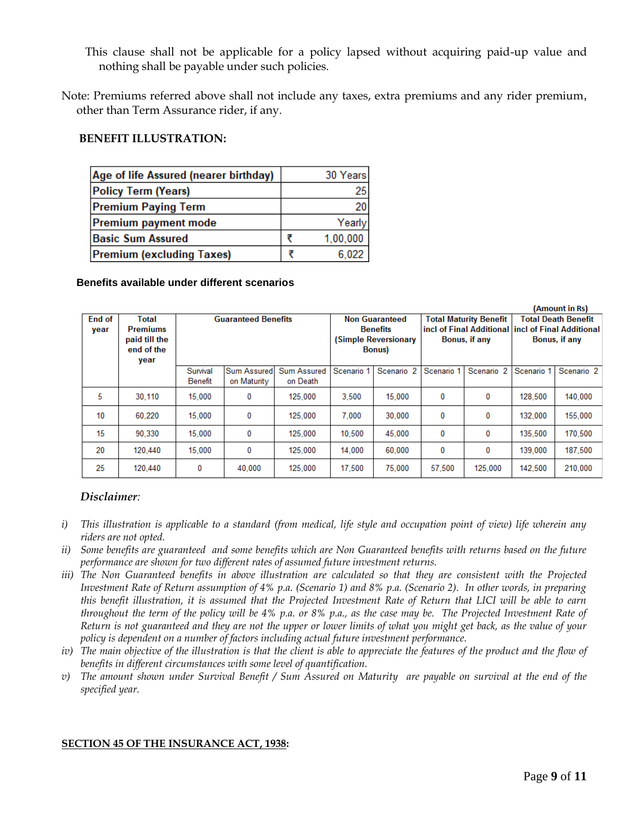This clause shall not be applicable for a policy lapsed without acquiring paid-up value and nothing shall be payable under such policies.

Note: Premiums referred above shall not include any taxes, extra premiums and any rider premium, other than Term Assurance rider, if any.

## **BENEFIT ILLUSTRATION:**

| Age of life Assured (nearer birthday) | 30 Years |
|---------------------------------------|----------|
| <b>Policy Term (Years)</b>            | 25       |
| <b>Premium Paying Term</b>            | 20       |
| Premium payment mode                  | Yearly   |
| <b>Basic Sum Assured</b>              | 1,00,000 |
| <b>Premium (excluding Taxes)</b>      | 6,022    |

#### **Benefits available under different scenarios**

| (Amount in Rs) |                 |                            |             |                    |                       |                       |                                                    |                       |                            |                       |
|----------------|-----------------|----------------------------|-------------|--------------------|-----------------------|-----------------------|----------------------------------------------------|-----------------------|----------------------------|-----------------------|
| End of         | Total           | <b>Guaranteed Benefits</b> |             |                    | <b>Non Guaranteed</b> |                       | <b>Total Maturity Benefit</b>                      |                       | <b>Total Death Benefit</b> |                       |
| year           | <b>Premiums</b> |                            |             |                    | <b>Benefits</b>       |                       | incl of Final Additional lincl of Final Additional |                       |                            |                       |
|                | paid till the   |                            |             |                    | (Simple Reversionary  |                       | Bonus, if any                                      |                       | Bonus, if any              |                       |
|                | end of the      |                            |             |                    | <b>Bonus</b> )        |                       |                                                    |                       |                            |                       |
|                | year            |                            |             |                    |                       |                       |                                                    |                       |                            |                       |
|                |                 | Survival                   | Sum Assured | <b>Sum Assured</b> | Scenario 1            | Scenario <sub>2</sub> | Scenario 1                                         | Scenario <sub>2</sub> | Scenario 1                 | Scenario <sub>2</sub> |
|                |                 | Benefit                    | on Maturity | on Death           |                       |                       |                                                    |                       |                            |                       |
| 5              | 30,110          | 15.000                     | 0           | 125.000            | 3.500                 | 15,000                | 0                                                  | 0                     | 128,500                    | 140,000               |
| 10             | 60.220          | 15,000                     | 0           | 125,000            | 7.000                 | 30,000                | 0                                                  | 0                     | 132,000                    | 155,000               |
| 15             | 90.330          | 15.000                     | 0           | 125.000            | 10.500                | 45.000                | 0                                                  | 0                     | 135.500                    | 170,500               |
| 20             | 120,440         | 15,000                     | 0           | 125,000            | 14,000                | 60,000                | 0                                                  | 0                     | 139,000                    | 187,500               |
| 25             | 120.440         | 0                          | 40,000      | 125,000            | 17,500                | 75.000                | 57.500                                             | 125.000               | 142,500                    | 210,000               |

#### *Disclaimer:*

- *i) This illustration is applicable to a standard (from medical, life style and occupation point of view) life wherein any riders are not opted.*
- *ii*) Some benefits are guaranteed and some benefits which are Non Guaranteed benefits with returns based on the future *performance are shown for two different rates of assumed future investment returns.*
- *iii) The Non Guaranteed benefits in above illustration are calculated so that they are consistent with the Projected Investment Rate of Return assumption of 4% p.a. (Scenario 1) and 8% p.a. (Scenario 2). In other words, in preparing this benefit illustration, it is assumed that the Projected Investment Rate of Return that LICI will be able to earn throughout the term of the policy will be 4% p.a. or 8% p.a., as the case may be. The Projected Investment Rate of Return is not guaranteed and they are not the upper or lower limits of what you might get back, as the value of your policy is dependent on a number of factors including actual future investment performance.*
- *iv*) The main objective of the illustration is that the client is able to appreciate the features of the product and the flow of *benefits in different circumstances with some level of quantification.*
- *v) The amount shown under Survival Benefit / Sum Assured on Maturity are payable on survival at the end of the specified year.*

#### **SECTION 45 OF THE INSURANCE ACT, 1938:**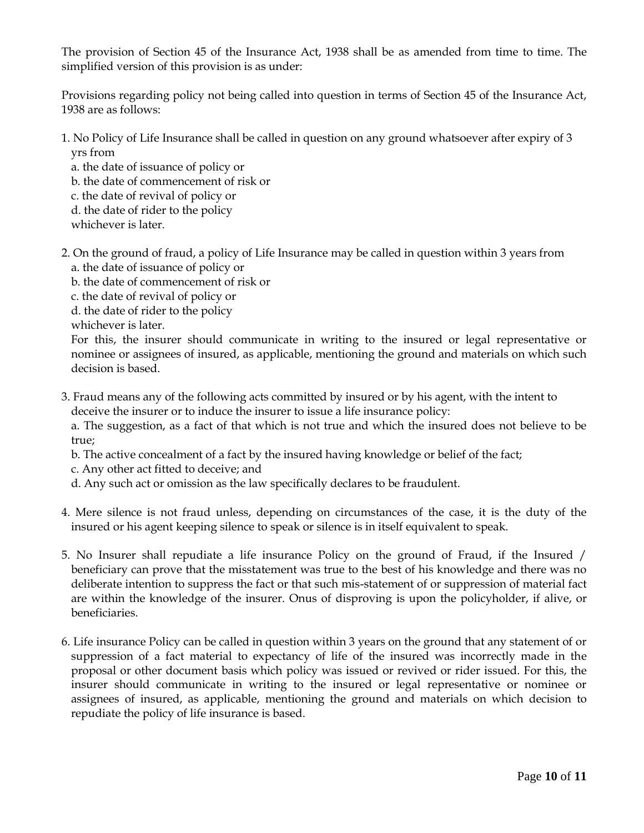The provision of Section 45 of the Insurance Act, 1938 shall be as amended from time to time. The simplified version of this provision is as under:

Provisions regarding policy not being called into question in terms of Section 45 of the Insurance Act, 1938 are as follows:

- 1. No Policy of Life Insurance shall be called in question on any ground whatsoever after expiry of 3 yrs from
	- a. the date of issuance of policy or
	- b. the date of commencement of risk or
	- c. the date of revival of policy or
	- d. the date of rider to the policy
	- whichever is later.
- 2. On the ground of fraud, a policy of Life Insurance may be called in question within 3 years from a. the date of issuance of policy or
	- b. the date of commencement of risk or
	- c. the date of revival of policy or
	- d. the date of rider to the policy
	- whichever is later.

For this, the insurer should communicate in writing to the insured or legal representative or nominee or assignees of insured, as applicable, mentioning the ground and materials on which such decision is based.

3. Fraud means any of the following acts committed by insured or by his agent, with the intent to deceive the insurer or to induce the insurer to issue a life insurance policy:

a. The suggestion, as a fact of that which is not true and which the insured does not believe to be true;

- b. The active concealment of a fact by the insured having knowledge or belief of the fact;
- c. Any other act fitted to deceive; and
- d. Any such act or omission as the law specifically declares to be fraudulent.
- 4. Mere silence is not fraud unless, depending on circumstances of the case, it is the duty of the insured or his agent keeping silence to speak or silence is in itself equivalent to speak.
- 5. No Insurer shall repudiate a life insurance Policy on the ground of Fraud, if the Insured / beneficiary can prove that the misstatement was true to the best of his knowledge and there was no deliberate intention to suppress the fact or that such mis-statement of or suppression of material fact are within the knowledge of the insurer. Onus of disproving is upon the policyholder, if alive, or beneficiaries.
- 6. Life insurance Policy can be called in question within 3 years on the ground that any statement of or suppression of a fact material to expectancy of life of the insured was incorrectly made in the proposal or other document basis which policy was issued or revived or rider issued. For this, the insurer should communicate in writing to the insured or legal representative or nominee or assignees of insured, as applicable, mentioning the ground and materials on which decision to repudiate the policy of life insurance is based.